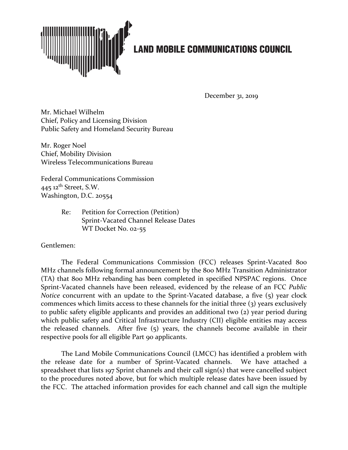

December 31, 2019

Mr. Michael Wilhelm Chief, Policy and Licensing Division Public Safety and Homeland Security Bureau

Mr. Roger Noel Chief, Mobility Division Wireless Telecommunications Bureau

Federal Communications Commission  $445$  12<sup>th</sup> Street, S.W. Washington, D.C. 20554

> Re: Petition for Correction (Petition) Sprint-Vacated Channel Release Dates WT Docket No. 02-55

Gentlemen:

The Federal Communications Commission (FCC) releases Sprint-Vacated 800 MHz channels following formal announcement by the 800 MHz Transition Administrator (TA) that 800 MHz rebanding has been completed in specified NPSPAC regions. Once Sprint-Vacated channels have been released, evidenced by the release of an FCC *Public Notice* concurrent with an update to the Sprint-Vacated database, a five (5) year clock commences which limits access to these channels for the initial three (3) years exclusively to public safety eligible applicants and provides an additional two (2) year period during which public safety and Critical Infrastructure Industry (CII) eligible entities may access the released channels. After five (5) years, the channels become available in their respective pools for all eligible Part 90 applicants.

The Land Mobile Communications Council (LMCC) has identified a problem with the release date for a number of Sprint-Vacated channels. We have attached a spreadsheet that lists 197 Sprint channels and their call sign(s) that were cancelled subject to the procedures noted above, but for which multiple release dates have been issued by the FCC. The attached information provides for each channel and call sign the multiple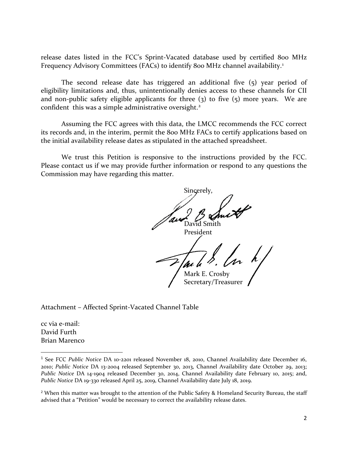release dates listed in the FCC's Sprint-Vacated database used by certified 800 MHz Frequency Advisory Committees (FACs) to identify 800 MHz channel availability.<sup>[1](#page-1-0)</sup>

The second release date has triggered an additional five (5) year period of eligibility limitations and, thus, unintentionally denies access to these channels for CII and non-public safety eligible applicants for three  $(3)$  to five  $(5)$  more years. We are confident this was a simple administrative oversight. [2](#page-1-1)

Assuming the FCC agrees with this data, the LMCC recommends the FCC correct its records and, in the interim, permit the 800 MHz FACs to certify applications based on the initial availability release dates as stipulated in the attached spreadsheet.

We trust this Petition is responsive to the instructions provided by the FCC. Please contact us if we may provide further information or respond to any questions the Commission may have regarding this matter.

Sincerely, David Smith President Mark E. Crosby Secretary/Treasurer

Attachment – Affected Sprint-Vacated Channel Table

cc via e-mail: David Furth Brian Marenco

<span id="page-1-0"></span><sup>&</sup>lt;sup>1</sup> See FCC Public Notice DA 10-2201 released November 18, 2010, Channel Availability date December 16, 2010; *Public Notice* DA 13-2004 released September 30, 2013, Channel Availability date October 29, 2013; *Public Notice* DA 14-1904 released December 30, 2014, Channel Availability date February 10, 2015; and, *Public Notice* DA 19-330 released April 25, 2019, Channel Availability date July 18, 2019.

<span id="page-1-1"></span><sup>&</sup>lt;sup>2</sup> When this matter was brought to the attention of the Public Safety & Homeland Security Bureau, the staff advised that a "Petition" would be necessary to correct the availability release dates.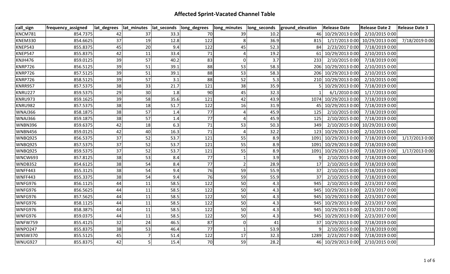| call_sign      | frequency_assigned |    |    |      | lat_degrees  lat_minutes  lat_seconds  long_degrees | long_minutes | long_seconds | ground_elevation | <b>Release Date</b>  | <b>Release Date 2</b>          | <b>Release Date 3</b> |
|----------------|--------------------|----|----|------|-----------------------------------------------------|--------------|--------------|------------------|----------------------|--------------------------------|-----------------------|
| <b>KNCM781</b> | 854.7375           | 42 | 37 | 33.3 | 70                                                  | 39           | 10.2         |                  | 46 10/29/2013 0:00   | 2/10/2015 0:00                 |                       |
| KNEM330        | 854.6625           | 37 | 19 | 12.8 | 122                                                 |              | 36.9         | 815              |                      | 1/17/2013 0:00 10/29/2013 0:00 | 7/18/2019 0:00        |
| KNEP543        | 855.8375           | 45 | 20 | 9.4  | 122                                                 | 45           | 52.3         | 84 I             | 2/23/2017 0:00       | 7/18/2019 0:00                 |                       |
| KNEP547        | 855.8375           | 42 | 11 | 33.4 | 71                                                  |              | 19.2         |                  | 61 10/29/2013 0:00   | 2/10/2015 0:00                 |                       |
| KNJH476        | 859.0125           | 39 | 57 | 40.2 | 83                                                  | $\Omega$     | 3.7          | 233              | 2/10/2015 0:00       | 7/18/2019 0:00                 |                       |
| KNRP726        | 856.5125           | 39 | 51 | 39.1 | 88                                                  | 53           | 58.3         |                  | 206 10/29/2013 0:00  | 2/10/2015 0:00                 |                       |
| KNRP726        | 857.5125           | 39 | 51 | 39.1 | 88                                                  | 53           | 58.3         |                  | 206 10/29/2013 0:00  | 2/10/2015 0:00                 |                       |
| KNRP726        | 858.5125           | 39 | 57 | 3.1  | 88                                                  | 52           | 5.3          |                  | 210 10/29/2013 0:00  | 2/10/2015 0:00                 |                       |
| <b>KNRR957</b> | 857.5375           | 38 | 33 | 21.7 | 121                                                 | 38           | 35.9         |                  | 5 10/29/2013 0:00    | 7/18/2019 0:00                 |                       |
| <b>KNRU227</b> | 859.5375           | 29 | 30 | 1.8  | 90                                                  | 45           | 32.3         |                  | 6/1/2010 0:00        | 1/17/2013 0:00                 |                       |
| KNRU973        | 859.1625           | 39 | 58 | 35.6 | 121                                                 | 42           | 43.9         |                  | 1074 10/29/2013 0:00 | 7/18/2019 0:00                 |                       |
| <b>KNRU982</b> | 857.5375           | 38 | 18 | 51.7 | 122                                                 | 16           | 31.9         |                  | 45 10/29/2013 0:00   | 7/18/2019 0:00                 |                       |
| WNAJ366        | 858.1875           | 38 | 57 | 1.4  | 77                                                  |              | 45.9         | 125              | 2/10/2015 0:00       | 7/18/2019 0:00                 |                       |
| WNAJ366        | 859.1875           | 38 | 57 | 1.4  | 77                                                  |              | 45.9         | 125              | 2/10/2015 0:00       | 7/18/2019 0:00                 |                       |
| <b>WNBN396</b> | 859.6375           | 42 | 18 | 6.3  | 71                                                  | 53           | 50.3         | 349              |                      | 2/10/2015 0:00 10/29/2013 0:00 |                       |
| <b>WNBN456</b> | 859.0125           | 42 | 40 | 16.3 | 71                                                  |              | 32.2         |                  | 123 10/29/2013 0:00  | 2/10/2015 0:00                 |                       |
| <b>WNBQ925</b> | 856.5375           | 37 | 52 | 53.7 | 121                                                 | 55           | 8.9          |                  | 1091 10/29/2013 0:00 | 7/18/2019 0:00                 | 1/17/2013 0:00        |
| <b>WNBQ925</b> | 857.5375           | 37 | 52 | 53.7 | 121                                                 | 55           | 8.9          |                  | 1091 10/29/2013 0:00 | 7/18/2019 0:00                 |                       |
| <b>WNBQ925</b> | 859.5375           | 37 | 52 | 53.7 | 121                                                 | 55           | 8.9          |                  | 1091 10/29/2013 0:00 | 7/18/2019 0:00                 | 1/17/2013 0:00        |
| WNCW693        | 857.8125           | 38 | 53 | 8.4  | 77                                                  |              | 3.9          | 91               | 2/10/2015 0:00       | 7/18/2019 0:00                 |                       |
| <b>WNDB352</b> | 854.6125           | 38 | 54 | 8.4  | 77                                                  |              | 28.9         | 17 I             | 2/10/2015 0:00       | 7/18/2019 0:00                 |                       |
| WNFF443        | 855.3125           | 38 | 54 | 9.4  | 76                                                  | 59           | 55.9         | 37               | 2/10/2015 0:00       | 7/18/2019 0:00                 |                       |
| WNFF443        | 855.3375           | 38 | 54 | 9.4  | 76                                                  | 59           | 55.9         | 37               | 2/10/2015 0:00       | 7/18/2019 0:00                 |                       |
| WNFG976        | 856.1125           | 44 | 11 | 58.5 | 122                                                 | 50           | 4.3          | 945              | 2/10/2015 0:00       | 2/23/2017 0:00                 |                       |
| WNFG976        | 856.5625           | 44 | 11 | 58.5 | 122                                                 | 50           | 4.3          |                  | 945 10/29/2013 0:00  | 2/23/2017 0:00                 |                       |
| WNFG976        | 857.5625           | 44 | 11 | 58.5 | 122                                                 | 50           | 4.3          |                  | 945 10/29/2013 0:00  | 2/23/2017 0:00                 |                       |
| WNFG976        | 858.1125           | 44 | 11 | 58.5 | 122                                                 | 50           | 4.3          |                  | 945 10/29/2013 0:00  | 2/23/2017 0:00                 |                       |
| WNFG976        | 858.3875           | 44 | 11 | 58.5 | 122                                                 | 50           | 4.3          |                  | 945 10/29/2013 0:00  | 2/23/2017 0:00                 |                       |
| WNFG976        | 859.0375           | 44 | 11 | 58.5 | 122                                                 | 50           | 4.3          |                  | 945 10/29/2013 0:00  | 2/23/2017 0:00                 |                       |
| WNFW759        | 855.4125           | 32 | 24 | 46.5 | 87                                                  | $\Omega$     | 41           |                  | 37 10/29/2013 0:00   | 7/18/2019 0:00                 |                       |
| <b>WNPO247</b> | 855.8375           | 38 | 53 | 46.4 | 77                                                  |              | 53.9         |                  | 2/10/2015 0:00       | 7/18/2019 0:00                 |                       |
| <b>WNSW370</b> | 855.5125           | 45 |    | 51.4 | 122                                                 | 17           | 32.3         | 1289             | 2/23/2017 0:00       | 7/18/2019 0:00                 |                       |
| WNUG927        | 855.8375           | 42 |    | 15.4 | 70                                                  | 59           | 28.2         |                  | 46 10/29/2013 0:00   | 2/10/2015 0:00                 |                       |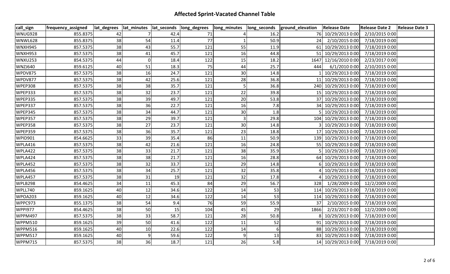| call_sign      | frequency_assigned |    |          |      | lat_degrees  lat_minutes  lat_seconds  long_degrees | long_minutes |      | long_seconds  ground_elevation | <b>Release Date</b>  | Release Date 2 Release Date 3 |  |
|----------------|--------------------|----|----------|------|-----------------------------------------------------|--------------|------|--------------------------------|----------------------|-------------------------------|--|
| WNUG928        | 855.8375           | 42 |          | 42.4 | 71                                                  |              | 16.2 |                                | 76 10/29/2013 0:00   | 2/10/2015 0:00                |  |
| WNWL628        | 855.8375           | 38 | 54       | 11.4 | 77                                                  |              | 50.9 | 24                             | 2/10/2015 0:00       | 7/18/2019 0:00                |  |
| <b>WNXH945</b> | 857.5375           | 38 | 43       | 55.7 | 121                                                 | 55           | 11.9 |                                | 61 10/29/2013 0:00   | 7/18/2019 0:00                |  |
| <b>WNXH953</b> | 857.5375           | 38 | 41       | 45.7 | 121                                                 | 16           | 44.8 |                                | 51 10/29/2013 0:00   | 7/18/2019 0:00                |  |
| <b>WNXU253</b> | 854.5375           | 44 | $\Omega$ | 18.4 | 122                                                 | 15           | 18.2 |                                | 1647 12/16/2010 0:00 | 2/23/2017 0:00                |  |
| <b>WNZJ640</b> | 859.6125           | 40 | 51       | 18.3 | 75                                                  | 44           | 25.7 | 444                            | 6/1/2010 0:00        | 2/10/2015 0:00                |  |
| WPDV875        | 857.5375           | 38 | 16       | 24.7 | 121                                                 | 30           | 14.8 |                                | 10/29/2013 0:00      | 7/18/2019 0:00                |  |
| WPDV877        | 857.5375           | 38 | 42       | 25.6 | 121                                                 | 28           | 36.8 |                                | 11 10/29/2013 0:00   | 7/18/2019 0:00                |  |
| WPEP308        | 857.5375           | 38 | 38       | 35.7 | 121                                                 |              | 36.8 |                                | 240 10/29/2013 0:00  | 7/18/2019 0:00                |  |
| WPEP333        | 857.5375           | 38 | 32       | 23.7 | 121                                                 | 22           | 39.8 |                                | 15 10/29/2013 0:00   | 7/18/2019 0:00                |  |
| WPEP335        | 857.5375           | 38 | 39       | 49.7 | 121                                                 | 20           | 53.8 |                                | 37 10/29/2013 0:00   | 7/18/2019 0:00                |  |
| WPEP337        | 857.5375           | 38 | 36       | 22.7 | 121                                                 | 16           | 7.8  |                                | 34 10/29/2013 0:00   | 7/18/2019 0:00                |  |
| WPEP345        | 857.5375           | 38 | 34       | 44.7 | 121                                                 | 30           | 1.8  |                                | 10/29/2013 0:00      | 7/18/2019 0:00                |  |
| WPEP357        | 857.5375           | 38 | 29       | 39.7 | 121                                                 |              | 29.8 |                                | 104 10/29/2013 0:00  | 7/18/2019 0:00                |  |
| WPEP358        | 857.5375           | 38 | 27       | 23.7 | 121                                                 | 30           | 14.8 |                                | 3 10/29/2013 0:00    | 7/18/2019 0:00                |  |
| WPEP359        | 857.5375           | 38 | 36       | 35.7 | 121                                                 | 23           | 18.8 |                                | 17 10/29/2013 0:00   | 7/18/2019 0:00                |  |
| WPID901        | 854.6625           | 33 | 39       | 35.4 | 86                                                  | 11           | 50.9 |                                | 139 10/29/2013 0:00  | 7/18/2019 0:00                |  |
| WPLA416        | 857.5375           | 38 | 42       | 21.6 | 121                                                 | 16           | 24.8 |                                | 55 10/29/2013 0:00   | 7/18/2019 0:00                |  |
| WPLA422        | 857.5375           | 38 | 33       | 21.7 | 121                                                 | 38           | 35.9 |                                | 5 10/29/2013 0:00    | 7/18/2019 0:00                |  |
| WPLA424        | 857.5375           | 38 | 38       | 21.7 | 121                                                 | 16           | 28.8 |                                | 64 10/29/2013 0:00   | 7/18/2019 0:00                |  |
| WPLA452        | 857.5375           | 38 | 32       | 33.7 | 121                                                 | 29           | 14.8 |                                | 10/29/2013 0:00      | 7/18/2019 0:00                |  |
| WPLA456        | 857.5375           | 38 | 34       | 25.7 | 121                                                 | 32           | 35.8 |                                | 10/29/2013 0:00      | 7/18/2019 0:00                |  |
| WPLA457        | 857.5375           | 38 | 31       | 19   | 121                                                 | 32           | 17.8 |                                | 10/29/2013 0:00      | 7/18/2019 0:00                |  |
| WPLB298        | 854.4625           | 34 | 11       | 45.3 | 84                                                  | 29           | 56.7 |                                | 328 1/28/2009 0:00   | 12/2/2009 0:00                |  |
| WPLL740        | 859.1625           | 40 | 12       | 34.6 | 122                                                 | 14           | 53   |                                | 114 10/29/2013 0:00  | 7/18/2019 0:00                |  |
| WPOA203        | 859.1625           | 40 | 12       | 34.6 | 122                                                 | 14           | 53   |                                | 114 10/29/2013 0:00  | 7/18/2019 0:00                |  |
| WPPC973        | 855.1375           | 38 | 54       | 9.4  | 76                                                  | 59           | 55.9 | 37                             | 2/10/2015 0:00       | 7/18/2019 0:00                |  |
| <b>WPPI977</b> | 854.4625           | 38 | 50       | 15   | 104                                                 | 45           | 29   | 1866                           | 2/23/2017 0:00       | 12/2/2009 0:00                |  |
| <b>WPPM497</b> | 857.5375           | 38 | 33       | 58.7 | 121                                                 | 28           | 50.8 |                                | 8 10/29/2013 0:00    | 7/18/2019 0:00                |  |
| <b>WPPM510</b> | 859.1625           | 39 | 50       | 41.6 | 122                                                 | 11           | 52   |                                | 91 10/29/2013 0:00   | 7/18/2019 0:00                |  |
| WPPM516        | 859.1625           | 40 | 10       | 22.6 | 122                                                 | 14           | 6    |                                | 88 10/29/2013 0:00   | 7/18/2019 0:00                |  |
| WPPM517        | 859.1625           | 40 |          | 59.6 | 122                                                 |              | 13   |                                | 83 10/29/2013 0:00   | 7/18/2019 0:00                |  |
| <b>WPPM715</b> | 857.5375           | 38 | 36       | 18.7 | 121                                                 | 26           | 5.8  |                                | 14 10/29/2013 0:00   | 7/18/2019 0:00                |  |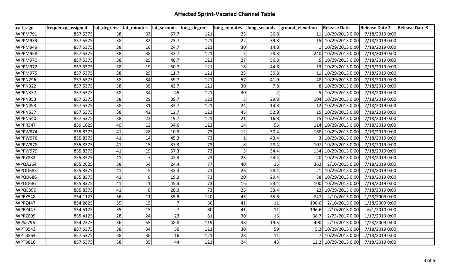| call_sign      | frequency_assigned |    |    |                | lat_degrees  lat_minutes  lat_seconds  long_degrees |    |      | long_minutes  long_seconds  ground_elevation | <b>Release Date</b>  | Release Date 2 Release Date 3 |  |
|----------------|--------------------|----|----|----------------|-----------------------------------------------------|----|------|----------------------------------------------|----------------------|-------------------------------|--|
| <b>WPPM791</b> | 857.5375           | 38 | 33 | 57.7           | 121                                                 | 25 | 56.8 |                                              | 11 10/29/2013 0:00   | 7/18/2019 0:00                |  |
| WPPM939        | 857.5375           | 38 | 32 | 23.7           | 121                                                 | 22 | 39.8 |                                              | 15 10/29/2013 0:00   | 7/18/2019 0:00                |  |
| WPPM949        | 857.5375           | 38 | 16 | 24.7           | 121                                                 | 30 | 14.8 |                                              | 10/29/2013 0:00      | 7/18/2019 0:00                |  |
| WPPM958        | 857.5375           | 38 | 38 | 33.7           | 121                                                 |    | 28.8 |                                              | 240 10/29/2013 0:00  | 7/18/2019 0:00                |  |
| <b>WPPM970</b> | 857.5375           | 38 | 25 | 48.7           | 121                                                 | 27 | 56.8 |                                              | 10/29/2013 0:00      | 7/18/2019 0:00                |  |
| WPPM972        | 857.5375           | 38 | 19 | 30.7           | 121                                                 | 18 | 44.8 |                                              | 13 10/29/2013 0:00   | 7/18/2019 0:00                |  |
| WPPM975        | 857.5375           | 38 | 25 | 11.7           | 121                                                 | 23 | 30.8 |                                              | 11 10/29/2013 0:00   | 7/18/2019 0:00                |  |
| WPPN296        | 857.5375           | 38 | 34 | 59.7           | 121                                                 | 57 | 41.9 |                                              | 48 10/29/2013 0:00   | 7/18/2019 0:00                |  |
| WPPN322        | 857.5375           | 38 | 35 | 42.7           | 121                                                 | 30 | 7.8  |                                              | 8 10/29/2013 0:00    | 7/18/2019 0:00                |  |
| WPPN337        | 857.5375           | 38 | 34 | 45             | 121                                                 | 30 |      |                                              | 10/29/2013 0:00      | 7/18/2019 0:00                |  |
| WPPN353        | 857.5375           | 38 | 29 | 39.7           | 121                                                 |    | 29.8 |                                              | 104 10/29/2013 0:00  | 7/18/2019 0:00                |  |
| WPPN493        | 857.5375           | 38 | 31 | 33.7           | 121                                                 | 24 | 14.8 |                                              | 12 10/29/2013 0:00   | 7/18/2019 0:00                |  |
| WPPN537        | 857.5375           | 38 | 42 | 12.7           | 121                                                 | 45 | 52.9 |                                              | 15 10/29/2013 0:00   | 7/18/2019 0:00                |  |
| WPPN540        | 857.5375           | 38 | 23 | 19.7           | 121                                                 | 21 | 16.8 |                                              | 15 10/29/2013 0:00   | 7/18/2019 0:00                |  |
| WPPR347        | 859.1625           | 40 | 12 | 34.6           | 122                                                 | 14 | 53   |                                              | 114 10/29/2013 0:00  | 7/18/2019 0:00                |  |
| WPPW974        | 855.8375           | 41 | 28 | 10.3           | 73                                                  | 12 | 30.4 |                                              | 168 10/29/2013 0:00  | 7/18/2019 0:00                |  |
| WPPW976        | 855.8375           | 41 | 14 | 45.3           | 73                                                  |    | 43.4 |                                              | 10/29/2013 0:00      | 7/18/2019 0:00                |  |
| WPPW978        | 855.8375           | 41 | 15 | 37.3           | 73                                                  |    | 28.4 |                                              | 107 10/29/2013 0:00  | 7/18/2019 0:00                |  |
| WPPW979        | 855.8375           | 41 | 19 | 57.3           | 73                                                  |    | 34.4 |                                              | 134 10/29/2013 0:00  | 7/18/2019 0:00                |  |
| <b>WPPY883</b> | 855.8375           | 41 |    | 42.3           | 73                                                  | 23 | 24.4 |                                              | 20 10/29/2013 0:00   | 7/18/2019 0:00                |  |
| WPQA264        | 855.2625           | 38 | 54 | 24.4           | 77                                                  | 40 | 15   | 362                                          | 2/10/2015 0:00       | 7/18/2019 0:00                |  |
| WPQD683        | 855.8375           | 41 |    | 32.3           | 73                                                  | 26 | 58.4 |                                              | 21 10/29/2013 0:00   | 7/18/2019 0:00                |  |
| WPQD686        | 855.8375           | 41 |    | 19.3           | 73                                                  | 20 | 29.4 |                                              | 38 10/29/2013 0:00   | 7/18/2019 0:00                |  |
| WPQD687        | 855.8375           | 41 | 11 | 45.3           | 73                                                  | 16 | 53.4 |                                              | 100 10/29/2013 0:00  | 7/18/2019 0:00                |  |
| WPQE396        | 855.8375           | 41 |    | 28.3           | 73                                                  | 25 | 33.4 |                                              | 22 10/29/2013 0:00   | 7/18/2019 0:00                |  |
| WPRY548        | 854.1125           | 36 | 11 | 35.9           | 120                                                 | 45 | 33.6 | 847                                          | 2/10/2015 0:00       | 1/28/2009 0:00                |  |
| WPRZ447        | 854.2625           | 35 | 15 |                | 80                                                  | 41 | 11   | 196.6                                        | 2/10/2015 0:00       | 1/28/2009 0:00                |  |
| WPRZ447        | 854.5125           | 35 | 15 | $\overline{7}$ | 80                                                  | 41 | 11   | 196.6                                        | 2/10/2015 0:00       | 6/1/2010 0:00                 |  |
| WPRZ609        | 855.4125           | 28 | 24 | 23             | 81                                                  | 30 | 15   | 38.7                                         | 2/23/2017 0:00       | 1/17/2013 0:00                |  |
| WPSZ796        | 854.2375           | 36 | 55 | 48.8           | 119                                                 | 38 | 19.5 | 490                                          | 2/10/2015 0:00       | 1/28/2009 0:00                |  |
| WPTB543        | 857.5375           | 38 | 34 | 56             | 121                                                 | 30 | 59   |                                              | 5.2 10/29/2013 0:00  | 7/18/2019 0:00                |  |
| WPTB564        | 857.5375           | 38 | 36 | 16             | 121                                                 | 28 | 11   |                                              | 10/29/2013 0:00      | 7/18/2019 0:00                |  |
| WPTB816        | 857.5375           | 38 | 35 | 44             | 121                                                 | 24 | 43   |                                              | 12.2 10/29/2013 0:00 | 7/18/2019 0:00                |  |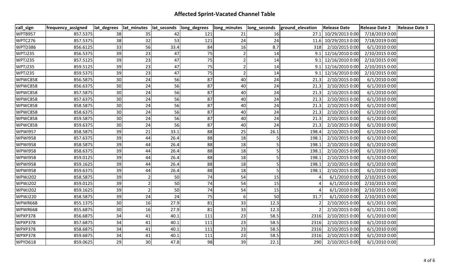| call_sign      | frequency_assigned |    |    |      | lat_degrees  lat_minutes  lat_seconds  long_degrees | long_minutes  long_seconds |      | ground_elevation | <b>Release Date</b>   | Release Date 2   Release Date 3 |  |
|----------------|--------------------|----|----|------|-----------------------------------------------------|----------------------------|------|------------------|-----------------------|---------------------------------|--|
| WPTB957        | 857.5375           | 38 | 35 | 42   | 121                                                 | 21                         | 16   |                  | 27.1 10/29/2013 0:00  | 7/18/2019 0:00                  |  |
| WPTC276        | 857.5375           | 38 | 32 | 53   | 121                                                 | 24                         | 24   |                  | 11.6 10/29/2013 0:00  | 7/18/2019 0:00                  |  |
| WPTD386        | 856.6125           | 33 | 56 | 33.4 | 84                                                  | 16                         | 8.7  | 318              | 2/10/2015 0:00        | 6/1/2010 0:00                   |  |
| WPTJ235        | 856.5375           | 39 | 23 | 47   | 75                                                  |                            | 14   |                  | $9.1$ 12/16/2010 0:00 | 2/10/2015 0:00                  |  |
| WPTJ235        | 857.5125           | 39 | 23 | 47   | 75                                                  |                            | 14   |                  | 9.1 12/16/2010 0:00   | 2/10/2015 0:00                  |  |
| WPTJ235        | 859.5125           | 39 | 23 | 47   | 75                                                  |                            | 14   |                  | $9.1$ 12/16/2010 0:00 | 2/10/2015 0:00                  |  |
| WPTJ235        | 859.5375           | 39 | 23 | 47   | 75                                                  |                            | 14   |                  | $9.1$ 12/16/2010 0:00 | 2/10/2015 0:00                  |  |
| WPWC858        | 856.5875           | 30 | 24 | 56   | 87                                                  | 40                         | 24   | 21.3             | 2/10/2015 0:00        | 6/1/2010 0:00                   |  |
| WPWC858        | 856.6375           | 30 | 24 | 56   | 87                                                  | 40                         | 24   | 21.3             | 2/10/2015 0:00        | 6/1/2010 0:00                   |  |
| WPWC858        | 857.5875           | 30 | 24 | 56   | 87                                                  | 40                         | 24   | 21.3             | 2/10/2015 0:00        | 6/1/2010 0:00                   |  |
| WPWC858        | 857.6375           | 30 | 24 | 56   | 87                                                  | 40                         | 24   | 21.3             | 2/10/2015 0:00        | 6/1/2010 0:00                   |  |
| WPWC858        | 858.5875           | 30 | 24 | 56   | 87                                                  | 40                         | 24   | 21.3             | 2/10/2015 0:00        | 6/1/2010 0:00                   |  |
| WPWC858        | 858.6375           | 30 | 24 | 56   | 87                                                  | 40                         | 24   | 21.3             | 2/10/2015 0:00        | 6/1/2010 0:00                   |  |
| WPWC858        | 859.5875           | 30 | 24 | 56   | 87                                                  | 40                         | 24   | 21.3             | 2/10/2015 0:00        | 6/1/2010 0:00                   |  |
| WPWC858        | 859.6375           | 30 | 24 | 56   | 87                                                  | 40                         | 24   | 21.3             | 2/10/2015 0:00        | 6/1/2010 0:00                   |  |
| <b>WPWI957</b> | 858.5875           | 39 | 21 | 33.1 | 88                                                  | 25                         | 26.1 | 198.4            | 2/10/2015 0:00        | 6/1/2010 0:00                   |  |
| <b>WPWI958</b> | 857.6375           | 39 | 44 | 26.4 | 88                                                  | 18                         |      | 198.1            | 2/10/2015 0:00        | 6/1/2010 0:00                   |  |
| <b>WPWI958</b> | 858.5875           | 39 | 44 | 26.4 | 88                                                  | 18                         |      | 198.1            | 2/10/2015 0:00        | 6/1/2010 0:00                   |  |
| <b>WPWI958</b> | 858.6375           | 39 | 44 | 26.4 | 88                                                  | 18                         |      | 198.1            | 2/10/2015 0:00        | 6/1/2010 0:00                   |  |
| <b>WPWI958</b> | 859.0125           | 39 | 44 | 26.4 | 88                                                  | 18                         |      | 198.1            | 2/10/2015 0:00        | 6/1/2010 0:00                   |  |
| <b>WPWI958</b> | 859.1625           | 39 | 44 | 26.4 | 88                                                  | 18                         |      | 198.1            | 2/10/2015 0:00        | 6/1/2010 0:00                   |  |
| <b>WPWI958</b> | 859.6375           | 39 | 44 | 26.4 | 88                                                  | 18                         | -5   | 198.1            | 2/10/2015 0:00        | 6/1/2010 0:00                   |  |
| <b>WPWJ202</b> | 858.5875           | 39 |    | 50   | 74                                                  | 54                         | 15   |                  | 6/1/2010 0:00         | 2/10/2015 0:00                  |  |
| WPWJ202        | 859.0125           | 39 |    | 50   | 74                                                  | 54                         | 15   |                  | 6/1/2010 0:00         | 2/10/2015 0:00                  |  |
| WPWJ202        | 859.1625           | 39 |    | 50   | 74                                                  | 54                         | 15   |                  | 6/1/20100:00          | 2/10/2015 0:00                  |  |
| WPWJ220        | 858.5875           | 39 | 24 | 24   | 75                                                  | $6 \mid$                   | 50   | 31.7             | 6/1/2010 0:00         | 2/10/2015 0:00                  |  |
| WPWR668        | 855.1375           | 30 | 16 | 27.9 | 81                                                  | 33                         | 12.3 |                  | 2/10/2015 0:00        | 6/1/2011 0:00                   |  |
| WPWR668        | 855.6875           | 30 | 16 | 27.9 | 81                                                  | 33                         | 12.3 |                  | 2/10/2015 0:00        | 6/1/2011 0:00                   |  |
| WPXP378        | 856.6875           | 34 | 41 | 40.1 | 111                                                 | 23                         | 58.5 | 2316             | 2/10/2015 0:00        | 6/1/2010 0:00                   |  |
| WPXP378        | 857.6875           | 34 | 41 | 40.1 | 111                                                 | 23                         | 58.5 | 2316             | 2/10/2015 0:00        | 6/1/2010 0:00                   |  |
| WPXP378        | 858.6875           | 34 | 41 | 40.1 | 111                                                 | 23                         | 58.5 | 2316             | 2/10/2015 0:00        | 6/1/2010 0:00                   |  |
| WPXP378        | 859.6875           | 34 | 41 | 40.1 | 111                                                 | 23                         | 58.5 | 2316             | 2/10/2015 0:00        | 6/1/2010 0:00                   |  |
| WPYD618        | 859.0625           | 29 | 30 | 47.8 | 98                                                  | 39                         | 22.1 | 290              | 2/10/2015 0:00        | 6/1/2010 0:00                   |  |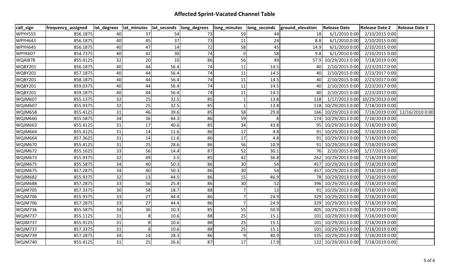| call_sign      | frequency_assigned |    |    |      | lat_degrees  lat_minutes  lat_seconds  long_degrees | long_minutes | long_seconds | ground_elevation | <b>Release Date</b>  | <b>Release Date 2</b>          | <b>Release Date 3</b>          |
|----------------|--------------------|----|----|------|-----------------------------------------------------|--------------|--------------|------------------|----------------------|--------------------------------|--------------------------------|
| <b>WPYH555</b> | 856.1875           | 40 | 37 | 54   | 73                                                  | 59           | 44           | 18               | 6/1/2010 0:00        | 2/10/2015 0:00                 |                                |
| WPYH643        | 856.1875           | 40 | 45 | 37   | 73                                                  | 11           | 24           | 8.8              | 6/1/2010 0:00        | 2/10/2015 0:00                 |                                |
| WPYH645        | 856.1875           | 40 | 47 | 14   | 72                                                  | 58           | 45           | 14.9             | 6/1/2010 0:00        | 2/10/2015 0:00                 |                                |
| <b>WPYK607</b> | 854.7375           | 40 | 42 | 30   | 74                                                  | $\Omega$     | 58           | 9.8              | 6/1/2010 0:00        | 2/10/2015 0:00                 |                                |
| <b>WQAI878</b> | 855.4125           | 32 | 20 | 10   | 86                                                  | 56           | 49           |                  | 57.9 10/29/2013 0:00 | 7/18/2019 0:00                 |                                |
| <b>WQBY201</b> | 856.1875           | 40 | 44 | 56.4 | 74                                                  | 11           | 14.5         | 40 I             | 2/10/2015 0:00       | 2/23/2017 0:00                 |                                |
| <b>WQBY201</b> | 857.1875           | 40 | 44 | 56.4 | 74                                                  | 11           | 14.5         | 40               | 2/10/2015 0:00       | 2/23/2017 0:00                 |                                |
| WQBY201        | 858.1875           | 40 | 44 | 56.4 | 74                                                  | 11           | 14.5         | 40               | 2/10/2015 0:00       | 2/23/2017 0:00                 |                                |
| <b>WQBY201</b> | 859.0375           | 40 | 44 | 56.4 | 74                                                  | 11           | 14.5         | 40               | 2/10/2015 0:00       | 2/23/2017 0:00                 |                                |
| <b>WQBY201</b> | 859.1875           | 40 | 44 | 56.4 | 74                                                  | 11           | 14.5         | 40               | 2/10/2015 0:00       | 2/23/2017 0:00                 |                                |
| <b>WQJM607</b> | 855.1375           | 32 | 25 | 32.5 | 85                                                  |              | 13.8         | 118              |                      | 1/17/2013 0:00 10/29/2013 0:00 |                                |
| <b>WQJM607</b> | 855.9375           | 32 | 25 | 32.5 | 85                                                  |              | 13.8         |                  | 118 10/29/2013 0:00  | 7/18/2019 0:00                 |                                |
| <b>WQJM658</b> | 855.4125           | 31 | 46 | 39.6 | 85                                                  | 58           | 29.8         |                  | 166 10/29/2013 0:00  |                                | 7/18/2019 0:00 12/16/2010 0:00 |
| <b>WQJM660</b> | 855.5875           | 34 | 36 | 44.3 | 86                                                  | 59           | 8            |                  | 174 10/29/2013 0:00  | 7/18/2019 0:00                 |                                |
| <b>WQJM663</b> | 855.4125           | 31 | 17 | 40.6 | 85                                                  | 34           | 43.8         |                  | 95 10/29/2013 0:00   | 7/18/2019 0:00                 |                                |
| WQJM664        | 855.4125           | 31 | 14 | 11.6 | 86                                                  | 17           | 4.8          |                  | 10/29/2013 0:00      | 7/18/2019 0:00                 |                                |
| WQJM664        | 857.3625           | 31 | 14 | 11.6 | 86                                                  | 17           | 4.8          |                  | 91 10/29/2013 0:00   | 7/18/2019 0:00                 |                                |
| <b>WQJM670</b> | 855.4125           | 31 | 25 | 28.6 | 86                                                  | 56           | 10.9         |                  | 91 10/29/2013 0:00   | 7/18/2019 0:00                 |                                |
| <b>WQJM672</b> | 855.1625           | 33 | 56 | 14.4 | 87                                                  | 52           | 30.1         | 76 I             | 2/10/2015 0:00       | 1/17/2013 0:00                 |                                |
| WQJM673        | 855.9375           | 32 | 49 | 3.5  | 85                                                  | 42           | 36.8         |                  | 262 10/29/2013 0:00  | 7/18/2019 0:00                 |                                |
| <b>WQJM675</b> | 855.5875           | 34 | 40 | 50.3 | 86                                                  | 30           | 54           |                  | 457 10/29/2013 0:00  | 7/18/2019 0:00                 |                                |
| <b>WQJM675</b> | 857.2875           | 34 | 40 | 50.3 | 86                                                  | 30           | 54           |                  | 457 10/29/2013 0:00  | 7/18/2019 0:00                 |                                |
| <b>WQJM682</b> | 855.9375           | 32 | 13 | 44.5 | 86                                                  | 15           | 46.9         |                  | 78 10/29/2013 0:00   | 7/18/2019 0:00                 |                                |
| <b>WQJM688</b> | 857.2875           | 33 | 56 | 25.4 | 86                                                  | 30           | 52           |                  | 396 10/29/2013 0:00  | 7/18/2019 0:00                 |                                |
| <b>WQJM705</b> | 857.3375           | 30 | 58 | 18.7 | 88                                                  |              | 13           |                  | 91 10/29/2013 0:00   | 7/18/2019 0:00                 |                                |
| <b>WQJM706</b> | 855.9375           | 33 | 27 | 44.4 | 86                                                  |              | 24.9         |                  | 329 10/29/2013 0:00  | 7/18/2019 0:00                 |                                |
| <b>WQJM706</b> | 857.2875           | 33 | 27 | 44.4 | 86                                                  |              | 24.9         |                  | 329 10/29/2013 0:00  | 7/18/2019 0:00                 |                                |
| WQJM736        | 855.5875           | 34 | 36 | 10.3 | 85                                                  | 55           | 50.9         |                  | 405 10/29/2013 0:00  | 7/18/2019 0:00                 |                                |
| WQJM737        | 855.1125           | 31 |    | 10.6 | 88                                                  | 25           | 15.1         |                  | 101 10/29/2013 0:00  | 7/18/2019 0:00                 |                                |
| WQJM737        | 855.9125           | 31 |    | 10.6 | 88                                                  | 25           | 15.1         |                  | 101 10/29/2013 0:00  | 7/18/2019 0:00                 |                                |
| WQJM737        | 857.3375           | 31 |    | 10.6 | 88                                                  | 25           | 15.1         |                  | 101 10/29/2013 0:00  | 7/18/2019 0:00                 |                                |
| WQJM739        | 857.2875           | 34 | 14 | 28.3 | 86                                                  |              | 40.9         |                  | 335 10/29/2013 0:00  | 7/18/2019 0:00                 |                                |
| <b>WQJM740</b> | 855.4125           | 31 | 25 | 26.6 | 87                                                  | 17           | 17.9         |                  | 122 10/29/2013 0:00  | 7/18/2019 0:00                 |                                |